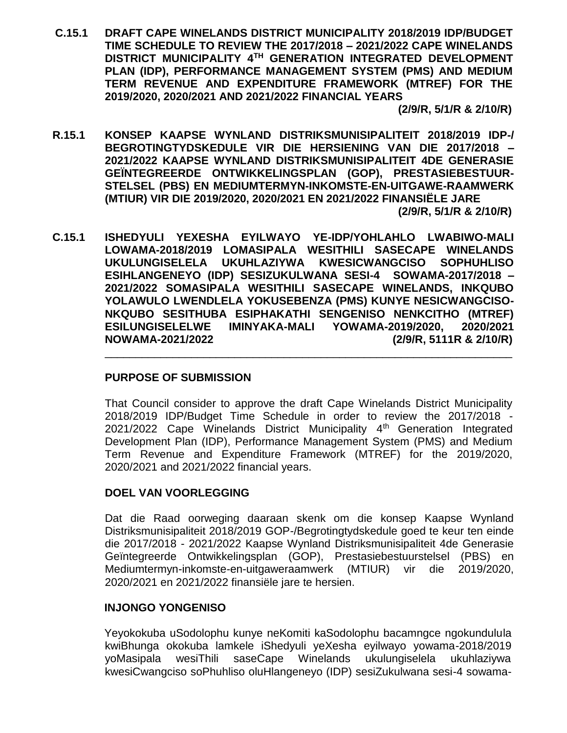**C.15.1 DRAFT CAPE WINELANDS DISTRICT MUNICIPALITY 2018/2019 IDP/BUDGET TIME SCHEDULE TO REVIEW THE 2017/2018 – 2021/2022 CAPE WINELANDS DISTRICT MUNICIPALITY 4TH GENERATION INTEGRATED DEVELOPMENT PLAN (IDP), PERFORMANCE MANAGEMENT SYSTEM (PMS) AND MEDIUM TERM REVENUE AND EXPENDITURE FRAMEWORK (MTREF) FOR THE 2019/2020, 2020/2021 AND 2021/2022 FINANCIAL YEARS** 

 **(2/9/R, 5/1/R & 2/10/R)**

- **R.15.1 KONSEP KAAPSE WYNLAND DISTRIKSMUNISIPALITEIT 2018/2019 IDP-/ BEGROTINGTYDSKEDULE VIR DIE HERSIENING VAN DIE 2017/2018 – 2021/2022 KAAPSE WYNLAND DISTRIKSMUNISIPALITEIT 4DE GENERASIE GEÏNTEGREERDE ONTWIKKELINGSPLAN (GOP), PRESTASIEBESTUUR-STELSEL (PBS) EN MEDIUMTERMYN-INKOMSTE-EN-UITGAWE-RAAMWERK (MTIUR) VIR DIE 2019/2020, 2020/2021 EN 2021/2022 FINANSIËLE JARE (2/9/R, 5/1/R & 2/10/R)**
- **C.15.1 ISHEDYULI YEXESHA EYILWAYO YE-IDP/YOHLAHLO LWABIWO-MALI LOWAMA-2018/2019 LOMASIPALA WESITHILI SASECAPE WINELANDS UKULUNGISELELA UKUHLAZIYWA KWESICWANGCISO SOPHUHLISO ESIHLANGENEYO (IDP) SESIZUKULWANA SESI-4 SOWAMA-2017/2018 – 2021/2022 SOMASIPALA WESITHILI SASECAPE WINELANDS, INKQUBO YOLAWULO LWENDLELA YOKUSEBENZA (PMS) KUNYE NESICWANGCISO-NKQUBO SESITHUBA ESIPHAKATHI SENGENISO NENKCITHO (MTREF) ESILUNGISELELWE IMINYAKA-MALI YOWAMA-2019/2020, 2020/2021 NOWAMA-2021/2022 (2/9/R, 5111R & 2/10/R)**

# **PURPOSE OF SUBMISSION**

That Council consider to approve the draft Cape Winelands District Municipality 2018/2019 IDP/Budget Time Schedule in order to review the 2017/2018 - 2021/2022 Cape Winelands District Municipality 4<sup>th</sup> Generation Integrated Development Plan (IDP), Performance Management System (PMS) and Medium Term Revenue and Expenditure Framework (MTREF) for the 2019/2020, 2020/2021 and 2021/2022 financial years.

\_\_\_\_\_\_\_\_\_\_\_\_\_\_\_\_\_\_\_\_\_\_\_\_\_\_\_\_\_\_\_\_\_\_\_\_\_\_\_\_\_\_\_\_\_\_\_\_\_\_\_\_\_\_\_\_\_\_\_\_\_\_\_\_\_\_

# **DOEL VAN VOORLEGGING**

Dat die Raad oorweging daaraan skenk om die konsep Kaapse Wynland Distriksmunisipaliteit 2018/2019 GOP-/Begrotingtydskedule goed te keur ten einde die 2017/2018 - 2021/2022 Kaapse Wynland Distriksmunisipaliteit 4de Generasie Geïntegreerde Ontwikkelingsplan (GOP), Prestasiebestuurstelsel (PBS) en Mediumtermyn-inkomste-en-uitgaweraamwerk (MTIUR) vir die 2019/2020, 2020/2021 en 2021/2022 finansiële jare te hersien.

# **INJONGO YONGENISO**

Yeyokokuba uSodolophu kunye neKomiti kaSodolophu bacamngce ngokundulula kwiBhunga okokuba lamkele iShedyuli yeXesha eyilwayo yowama-2018/2019 yoMasipala wesiThili saseCape Winelands ukulungiselela ukuhlaziywa kwesiCwangciso soPhuhliso oluHlangeneyo (IDP) sesiZukulwana sesi-4 sowama-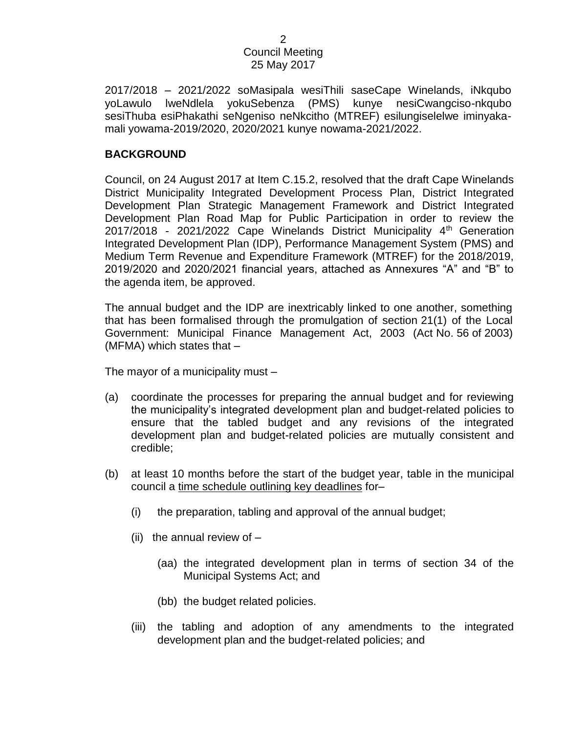2017/2018 – 2021/2022 soMasipala wesiThili saseCape Winelands, iNkqubo yoLawulo lweNdlela yokuSebenza (PMS) kunye nesiCwangciso-nkqubo sesiThuba esiPhakathi seNgeniso neNkcitho (MTREF) esilungiselelwe iminyakamali yowama-2019/2020, 2020/2021 kunye nowama-2021/2022.

#### **BACKGROUND**

Council, on 24 August 2017 at Item C.15.2, resolved that the draft Cape Winelands District Municipality Integrated Development Process Plan, District Integrated Development Plan Strategic Management Framework and District Integrated Development Plan Road Map for Public Participation in order to review the 2017/2018 - 2021/2022 Cape Winelands District Municipality  $4<sup>th</sup>$  Generation Integrated Development Plan (IDP), Performance Management System (PMS) and Medium Term Revenue and Expenditure Framework (MTREF) for the 2018/2019, 2019/2020 and 2020/2021 financial years, attached as Annexures "A" and "B" to the agenda item, be approved.

The annual budget and the IDP are inextricably linked to one another, something that has been formalised through the promulgation of section 21(1) of the Local Government: Municipal Finance Management Act, 2003 (Act No. 56 of 2003) (MFMA) which states that  $-$ 

The mayor of a municipality must –

- (a) coordinate the processes for preparing the annual budget and for reviewing the municipality's integrated development plan and budget-related policies to ensure that the tabled budget and any revisions of the integrated development plan and budget-related policies are mutually consistent and credible;
- (b) at least 10 months before the start of the budget year, table in the municipal council a time schedule outlining key deadlines for–
	- (i) the preparation, tabling and approval of the annual budget;
	- (ii) the annual review of  $-$ 
		- (aa) the integrated development plan in terms of section 34 of the Municipal Systems Act; and
		- (bb) the budget related policies.
	- (iii) the tabling and adoption of any amendments to the integrated development plan and the budget-related policies; and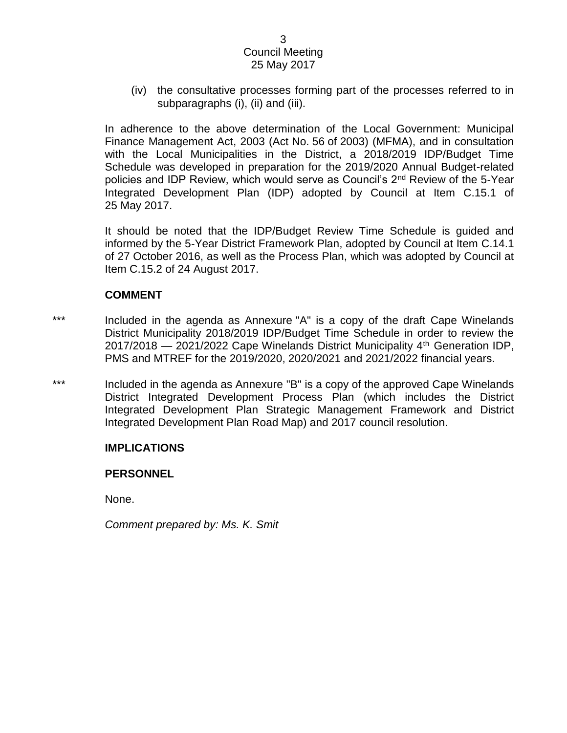(iv) the consultative processes forming part of the processes referred to in subparagraphs (i), (ii) and (iii).

In adherence to the above determination of the Local Government: Municipal Finance Management Act, 2003 (Act No. 56 of 2003) (MFMA), and in consultation with the Local Municipalities in the District, a 2018/2019 IDP/Budget Time Schedule was developed in preparation for the 2019/2020 Annual Budget-related policies and IDP Review, which would serve as Council's 2nd Review of the 5-Year Integrated Development Plan (IDP) adopted by Council at Item C.15.1 of 25 May 2017.

It should be noted that the IDP/Budget Review Time Schedule is guided and informed by the 5-Year District Framework Plan, adopted by Council at Item C.14.1 of 27 October 2016, as well as the Process Plan, which was adopted by Council at Item C.15.2 of 24 August 2017.

#### **COMMENT**

- \*\*\* Included in the agenda as Annexure "A" is a copy of the draft Cape Winelands District Municipality 2018/2019 IDP/Budget Time Schedule in order to review the  $2017/2018$  – 2021/2022 Cape Winelands District Municipality  $4<sup>th</sup>$  Generation IDP, PMS and MTREF for the 2019/2020, 2020/2021 and 2021/2022 financial years.
- \*\*\* Included in the agenda as Annexure "B" is a copy of the approved Cape Winelands District Integrated Development Process Plan (which includes the District Integrated Development Plan Strategic Management Framework and District Integrated Development Plan Road Map) and 2017 council resolution.

# **IMPLICATIONS**

#### **PERSONNEL**

None.

*Comment prepared by: Ms. K. Smit*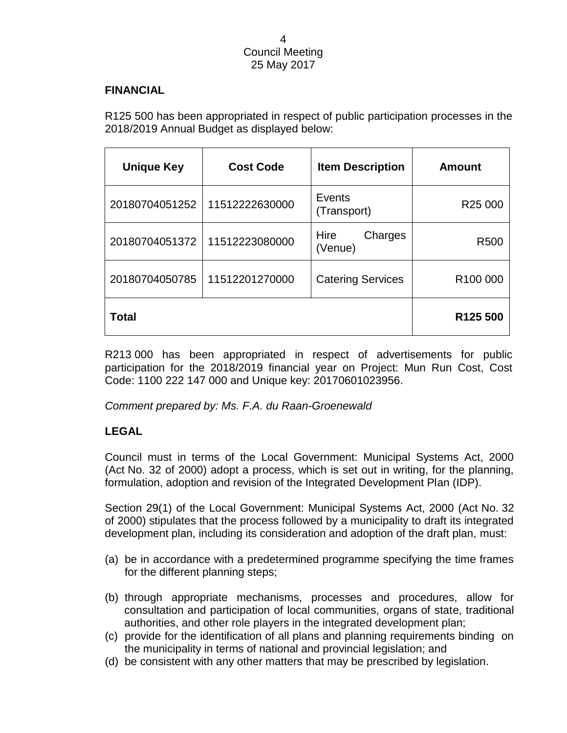#### **FINANCIAL**

R125 500 has been appropriated in respect of public participation processes in the 2018/2019 Annual Budget as displayed below:

| <b>Unique Key</b> | <b>Cost Code</b> | <b>Item Description</b>    | <b>Amount</b>        |
|-------------------|------------------|----------------------------|----------------------|
| 20180704051252    | 11512222630000   | Events<br>(Transport)      | R <sub>25</sub> 000  |
| 20180704051372    | 11512223080000   | Hire<br>Charges<br>(Venue) | R <sub>500</sub>     |
| 20180704050785    | 11512201270000   | <b>Catering Services</b>   | R <sub>100</sub> 000 |
| Total             |                  |                            | R <sub>125</sub> 500 |

R213 000 has been appropriated in respect of advertisements for public participation for the 2018/2019 financial year on Project: Mun Run Cost, Cost Code: 1100 222 147 000 and Unique key: 20170601023956.

*Comment prepared by: Ms. F.A. du Raan-Groenewald*

# **LEGAL**

Council must in terms of the Local Government: Municipal Systems Act, 2000 (Act No. 32 of 2000) adopt a process, which is set out in writing, for the planning, formulation, adoption and revision of the Integrated Development Plan (IDP).

Section 29(1) of the Local Government: Municipal Systems Act, 2000 (Act No. 32 of 2000) stipulates that the process followed by a municipality to draft its integrated development plan, including its consideration and adoption of the draft plan, must:

- (a) be in accordance with a predetermined programme specifying the time frames for the different planning steps;
- (b) through appropriate mechanisms, processes and procedures, allow for consultation and participation of local communities, organs of state, traditional authorities, and other role players in the integrated development plan;
- (c) provide for the identification of all plans and planning requirements binding on the municipality in terms of national and provincial legislation; and
- (d) be consistent with any other matters that may be prescribed by legislation.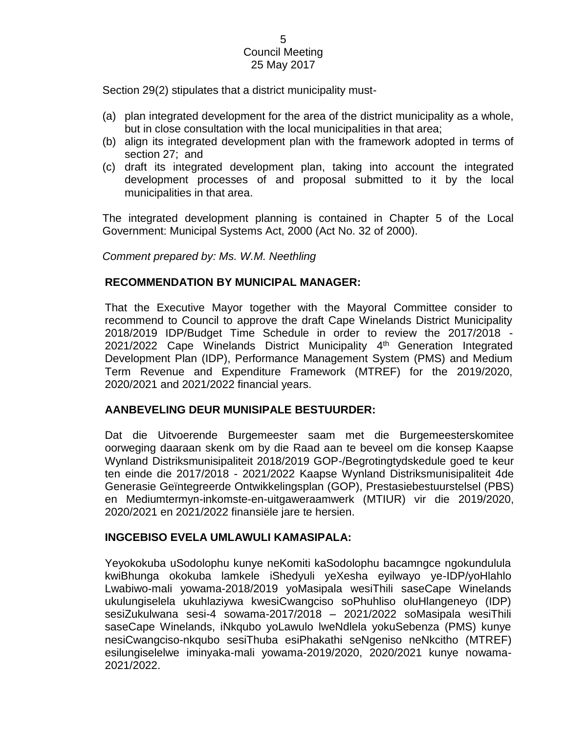Section 29(2) stipulates that a district municipality must-

- (a) plan integrated development for the area of the district municipality as a whole, but in close consultation with the local municipalities in that area;
- (b) align its integrated development plan with the framework adopted in terms of section 27; and
- (c) draft its integrated development plan, taking into account the integrated development processes of and proposal submitted to it by the local municipalities in that area.

The integrated development planning is contained in Chapter 5 of the Local Government: Municipal Systems Act, 2000 (Act No. 32 of 2000).

*Comment prepared by: Ms. W.M. Neethling*

# **RECOMMENDATION BY MUNICIPAL MANAGER:**

That the Executive Mayor together with the Mayoral Committee consider to recommend to Council to approve the draft Cape Winelands District Municipality 2018/2019 IDP/Budget Time Schedule in order to review the 2017/2018 - 2021/2022 Cape Winelands District Municipality 4<sup>th</sup> Generation Integrated Development Plan (IDP), Performance Management System (PMS) and Medium Term Revenue and Expenditure Framework (MTREF) for the 2019/2020, 2020/2021 and 2021/2022 financial years.

# **AANBEVELING DEUR MUNISIPALE BESTUURDER:**

Dat die Uitvoerende Burgemeester saam met die Burgemeesterskomitee oorweging daaraan skenk om by die Raad aan te beveel om die konsep Kaapse Wynland Distriksmunisipaliteit 2018/2019 GOP-/Begrotingtydskedule goed te keur ten einde die 2017/2018 - 2021/2022 Kaapse Wynland Distriksmunisipaliteit 4de Generasie Geïntegreerde Ontwikkelingsplan (GOP), Prestasiebestuurstelsel (PBS) en Mediumtermyn-inkomste-en-uitgaweraamwerk (MTIUR) vir die 2019/2020, 2020/2021 en 2021/2022 finansiële jare te hersien.

# **INGCEBISO EVELA UMLAWULI KAMASIPALA:**

Yeyokokuba uSodolophu kunye neKomiti kaSodolophu bacamngce ngokundulula kwiBhunga okokuba lamkele iShedyuli yeXesha eyilwayo ye-IDP/yoHlahlo Lwabiwo-mali yowama-2018/2019 yoMasipala wesiThili saseCape Winelands ukulungiselela ukuhlaziywa kwesiCwangciso soPhuhliso oluHlangeneyo (IDP) sesiZukulwana sesi-4 sowama-2017/2018 – 2021/2022 soMasipala wesiThili saseCape Winelands, iNkqubo yoLawulo lweNdlela yokuSebenza (PMS) kunye nesiCwangciso-nkqubo sesiThuba esiPhakathi seNgeniso neNkcitho (MTREF) esilungiselelwe iminyaka-mali yowama-2019/2020, 2020/2021 kunye nowama-2021/2022.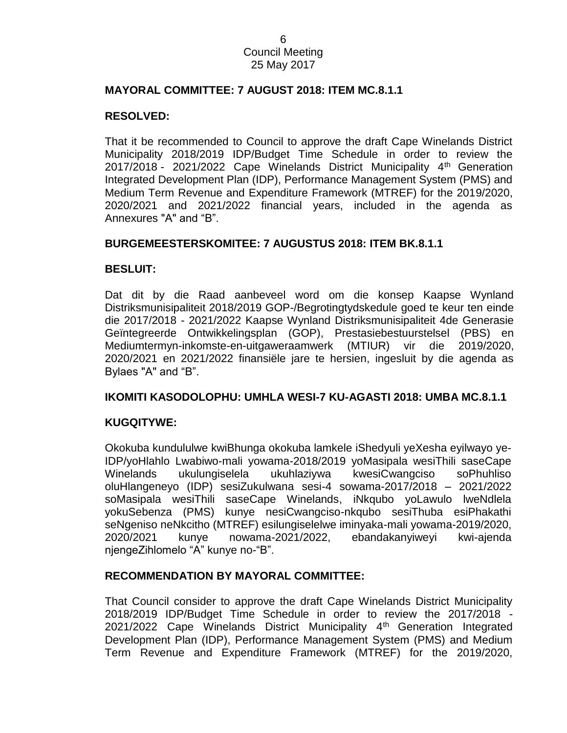#### **MAYORAL COMMITTEE: 7 AUGUST 2018: ITEM MC.8.1.1**

#### **RESOLVED:**

That it be recommended to Council to approve the draft Cape Winelands District Municipality 2018/2019 IDP/Budget Time Schedule in order to review the 2017/2018 - 2021/2022 Cape Winelands District Municipality 4th Generation Integrated Development Plan (IDP), Performance Management System (PMS) and Medium Term Revenue and Expenditure Framework (MTREF) for the 2019/2020, 2020/2021 and 2021/2022 financial years, included in the agenda as Annexures "A" and "B".

#### **BURGEMEESTERSKOMITEE: 7 AUGUSTUS 2018: ITEM BK.8.1.1**

#### **BESLUIT:**

Dat dit by die Raad aanbeveel word om die konsep Kaapse Wynland Distriksmunisipaliteit 2018/2019 GOP-/Begrotingtydskedule goed te keur ten einde die 2017/2018 - 2021/2022 Kaapse Wynland Distriksmunisipaliteit 4de Generasie Geïntegreerde Ontwikkelingsplan (GOP), Prestasiebestuurstelsel (PBS) en Mediumtermyn-inkomste-en-uitgaweraamwerk (MTIUR) vir die 2019/2020, 2020/2021 en 2021/2022 finansiële jare te hersien, ingesluit by die agenda as Bylaes "A" and "B".

#### **IKOMITI KASODOLOPHU: UMHLA WESI-7 KU-AGASTI 2018: UMBA MC.8.1.1**

#### **KUGQITYWE:**

Okokuba kundululwe kwiBhunga okokuba lamkele iShedyuli yeXesha eyilwayo ye-IDP/yoHlahlo Lwabiwo-mali yowama-2018/2019 yoMasipala wesiThili saseCape Winelands ukulungiselela ukuhlaziywa kwesiCwangciso soPhuhliso oluHlangeneyo (IDP) sesiZukulwana sesi-4 sowama-2017/2018 – 2021/2022 soMasipala wesiThili saseCape Winelands, iNkqubo yoLawulo lweNdlela yokuSebenza (PMS) kunye nesiCwangciso-nkqubo sesiThuba esiPhakathi seNgeniso neNkcitho (MTREF) esilungiselelwe iminyaka-mali yowama-2019/2020, 2020/2021 kunye nowama-2021/2022, ebandakanyiweyi kwi-ajenda njengeZihlomelo "A" kunye no-"B".

#### **RECOMMENDATION BY MAYORAL COMMITTEE:**

That Council consider to approve the draft Cape Winelands District Municipality 2018/2019 IDP/Budget Time Schedule in order to review the 2017/2018 - 2021/2022 Cape Winelands District Municipality 4<sup>th</sup> Generation Integrated Development Plan (IDP), Performance Management System (PMS) and Medium Term Revenue and Expenditure Framework (MTREF) for the 2019/2020,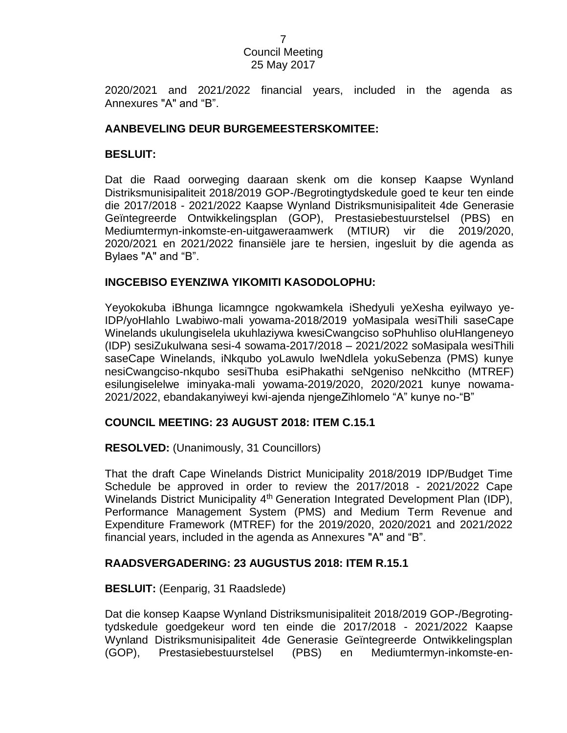2020/2021 and 2021/2022 financial years, included in the agenda as Annexures "A" and "B".

### **AANBEVELING DEUR BURGEMEESTERSKOMITEE:**

### **BESLUIT:**

Dat die Raad oorweging daaraan skenk om die konsep Kaapse Wynland Distriksmunisipaliteit 2018/2019 GOP-/Begrotingtydskedule goed te keur ten einde die 2017/2018 - 2021/2022 Kaapse Wynland Distriksmunisipaliteit 4de Generasie Geïntegreerde Ontwikkelingsplan (GOP), Prestasiebestuurstelsel (PBS) en Mediumtermyn-inkomste-en-uitgaweraamwerk (MTIUR) vir die 2019/2020, 2020/2021 en 2021/2022 finansiële jare te hersien, ingesluit by die agenda as Bylaes "A" and "B".

#### **INGCEBISO EYENZIWA YIKOMITI KASODOLOPHU:**

Yeyokokuba iBhunga licamngce ngokwamkela iShedyuli yeXesha eyilwayo ye-IDP/yoHlahlo Lwabiwo-mali yowama-2018/2019 yoMasipala wesiThili saseCape Winelands ukulungiselela ukuhlaziywa kwesiCwangciso soPhuhliso oluHlangeneyo (IDP) sesiZukulwana sesi-4 sowama-2017/2018 – 2021/2022 soMasipala wesiThili saseCape Winelands, iNkqubo yoLawulo lweNdlela yokuSebenza (PMS) kunye nesiCwangciso-nkqubo sesiThuba esiPhakathi seNgeniso neNkcitho (MTREF) esilungiselelwe iminyaka-mali yowama-2019/2020, 2020/2021 kunye nowama-2021/2022, ebandakanyiweyi kwi-ajenda njengeZihlomelo "A" kunye no-"B"

# **COUNCIL MEETING: 23 AUGUST 2018: ITEM C.15.1**

#### **RESOLVED:** (Unanimously, 31 Councillors)

That the draft Cape Winelands District Municipality 2018/2019 IDP/Budget Time Schedule be approved in order to review the 2017/2018 - 2021/2022 Cape Winelands District Municipality 4<sup>th</sup> Generation Integrated Development Plan (IDP), Performance Management System (PMS) and Medium Term Revenue and Expenditure Framework (MTREF) for the 2019/2020, 2020/2021 and 2021/2022 financial years, included in the agenda as Annexures "A" and "B".

#### **RAADSVERGADERING: 23 AUGUSTUS 2018: ITEM R.15.1**

#### **BESLUIT:** (Eenparig, 31 Raadslede)

Dat die konsep Kaapse Wynland Distriksmunisipaliteit 2018/2019 GOP-/Begrotingtydskedule goedgekeur word ten einde die 2017/2018 - 2021/2022 Kaapse Wynland Distriksmunisipaliteit 4de Generasie Geïntegreerde Ontwikkelingsplan (GOP), Prestasiebestuurstelsel (PBS) en Mediumtermyn-inkomste-en-